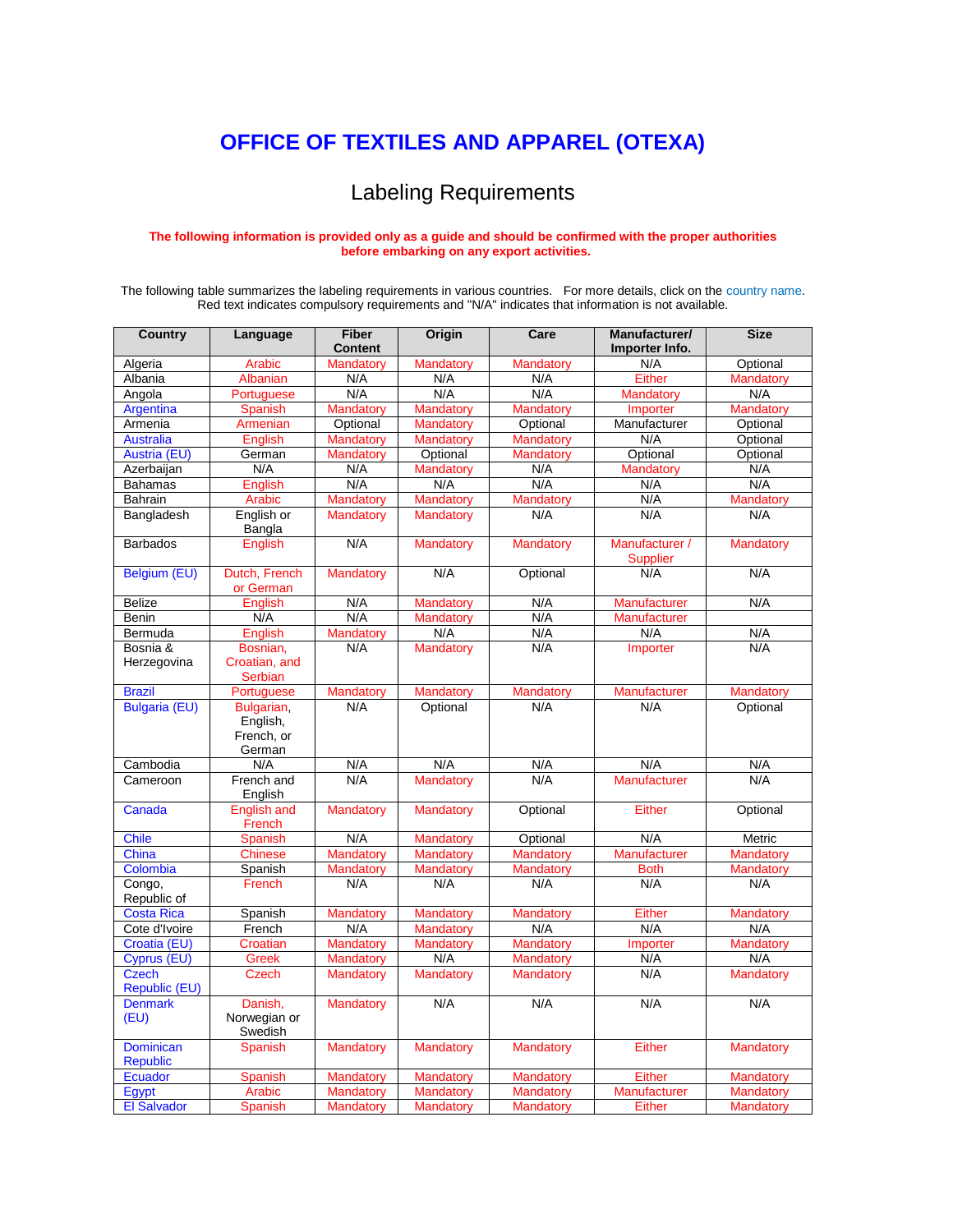## **[OFFICE OF TEXTILES AND APPAREL \(OTEXA\)](http://otexa.trade.gov/)**

## Labeling Requirements

## **The following information is provided only as a guide and should be confirmed with the proper authorities before embarking on any export activities.**

The following table summarizes the labeling requirements in various countries. For more details, click on the country name. Red text indicates compulsory requirements and "N/A" indicates that information is not available.

| <b>Country</b>                      | Language                                       | <b>Fiber</b><br><b>Content</b> | Origin           | Care             | Manufacturer/<br>Importer Info.   | <b>Size</b>      |
|-------------------------------------|------------------------------------------------|--------------------------------|------------------|------------------|-----------------------------------|------------------|
| Algeria                             | Arabic                                         | Mandatory                      | Mandatory        | Mandatory        | N/A                               | Optional         |
| Albania                             | Albanian                                       | N/A                            | N/A              | N/A              | Either                            | Mandatory        |
| Angola                              | Portuguese                                     | N/A                            | N/A              | N/A              | <b>Mandatory</b>                  | N/A              |
| Argentina                           | <b>Spanish</b>                                 | Mandatory                      | <b>Mandatory</b> | Mandatory        | Importer                          | Mandatory        |
| Armenia                             | Armenian                                       | Optional                       | <b>Mandatory</b> | Optional         | Manufacturer                      | Optional         |
| <b>Australia</b>                    | <b>English</b>                                 | <b>Mandatory</b>               | <b>Mandatory</b> | <b>Mandatory</b> | N/A                               | Optional         |
| Austria (EU)                        | German                                         | Mandatory                      | Optional         | Mandatory        | Optional                          | Optional         |
| Azerbaijan                          | N/A                                            | N/A                            | Mandatory        | N/A              | Mandatory                         | N/A              |
| <b>Bahamas</b>                      | <b>English</b>                                 | N/A                            | N/A              | N/A              | N/A                               | N/A              |
| <b>Bahrain</b>                      | Arabic                                         | Mandatory                      | <b>Mandatory</b> | Mandatory        | N/A                               | Mandatory        |
| Bangladesh                          | English or<br>Bangla                           | Mandatory                      | <b>Mandatory</b> | N/A              | N/A                               | N/A              |
| <b>Barbados</b>                     | English                                        | N/A                            | <b>Mandatory</b> | <b>Mandatory</b> | Manufacturer /<br><b>Supplier</b> | Mandatory        |
| Belgium (EU)                        | Dutch, French<br>or German                     | Mandatory                      | N/A              | Optional         | N/A                               | N/A              |
| <b>Belize</b>                       | <b>English</b>                                 | N/A                            | <b>Mandatory</b> | N/A              | <b>Manufacturer</b>               | N/A              |
| <b>Benin</b>                        | N/A                                            | N/A                            | Mandatory        | N/A              | Manufacturer                      |                  |
| Bermuda                             | English                                        | Mandatory                      | N/A              | N/A              | N/A                               | N/A              |
| Bosnia &                            | Bosnian,                                       | N/A                            | <b>Mandatory</b> | N/A              | Importer                          | N/A              |
| Herzegovina                         | Croatian, and<br><b>Serbian</b>                |                                |                  |                  |                                   |                  |
| <b>Brazil</b>                       | Portuguese                                     | Mandatory                      | Mandatory        | Mandatory        | Manufacturer                      | Mandatory        |
| <b>Bulgaria (EU)</b>                | Bulgarian,<br>English,<br>French, or<br>German | N/A                            | Optional         | N/A              | N/A                               | Optional         |
| Cambodia                            | N/A                                            | N/A                            | N/A              | N/A              | N/A                               | N/A              |
| Cameroon                            | French and<br>English                          | N/A                            | <b>Mandatory</b> | N/A              | Manufacturer                      | N/A              |
| Canada                              | <b>English and</b><br>French                   | <b>Mandatory</b>               | <b>Mandatory</b> | Optional         | <b>Either</b>                     | Optional         |
| <b>Chile</b>                        | <b>Spanish</b>                                 | N/A                            | <b>Mandatory</b> | Optional         | N/A                               | Metric           |
| China                               | <b>Chinese</b>                                 | Mandatory                      | <b>Mandatory</b> | Mandatory        | Manufacturer                      | <b>Mandatory</b> |
| Colombia                            | Spanish                                        | <b>Mandatory</b>               | <b>Mandatory</b> | <b>Mandatory</b> | <b>Both</b>                       | Mandatory        |
| Congo,<br>Republic of               | French                                         | N/A                            | N/A              | N/A              | N/A                               | N/A              |
| <b>Costa Rica</b>                   | Spanish                                        | Mandatory                      | <b>Mandatory</b> | Mandatory        | Either                            | Mandatory        |
| Cote d'Ivoire                       | French                                         | N/A                            | <b>Mandatory</b> | N/A              | N/A                               | N/A              |
| Croatia (EU)                        | Croatian                                       | Mandatory                      | <b>Mandatory</b> | Mandatory        | Importer                          | Mandatory        |
| Cyprus (EU)                         | <b>Greek</b>                                   | Mandatory                      | N/A              | <b>Mandatory</b> | N/A                               | N/A              |
| <b>Czech</b><br>Republic (EU)       | <b>Czech</b>                                   | <b>Mandatory</b>               | <b>Mandatory</b> | <b>Mandatory</b> | N/A                               | <b>Mandatory</b> |
| <b>Denmark</b><br>(EU)              | Danish,<br>Norwegian or<br>Swedish             | <b>Mandatory</b>               | N/A              | N/A              | N/A                               | N/A              |
| <b>Dominican</b><br><b>Republic</b> | Spanish                                        | <b>Mandatory</b>               | <b>Mandatory</b> | <b>Mandatory</b> | Either                            | Mandatory        |
| Ecuador                             | <b>Spanish</b>                                 | Mandatory                      | <b>Mandatory</b> | Mandatory        | <b>Either</b>                     | Mandatory        |
| Egypt                               | Arabic                                         | Mandatory                      | <b>Mandatory</b> | <b>Mandatory</b> | Manufacturer                      | Mandatory        |
| <b>El Salvador</b>                  | Spanish                                        | <b>Mandatory</b>               | <b>Mandatory</b> | <b>Mandatory</b> | Either                            | <b>Mandatory</b> |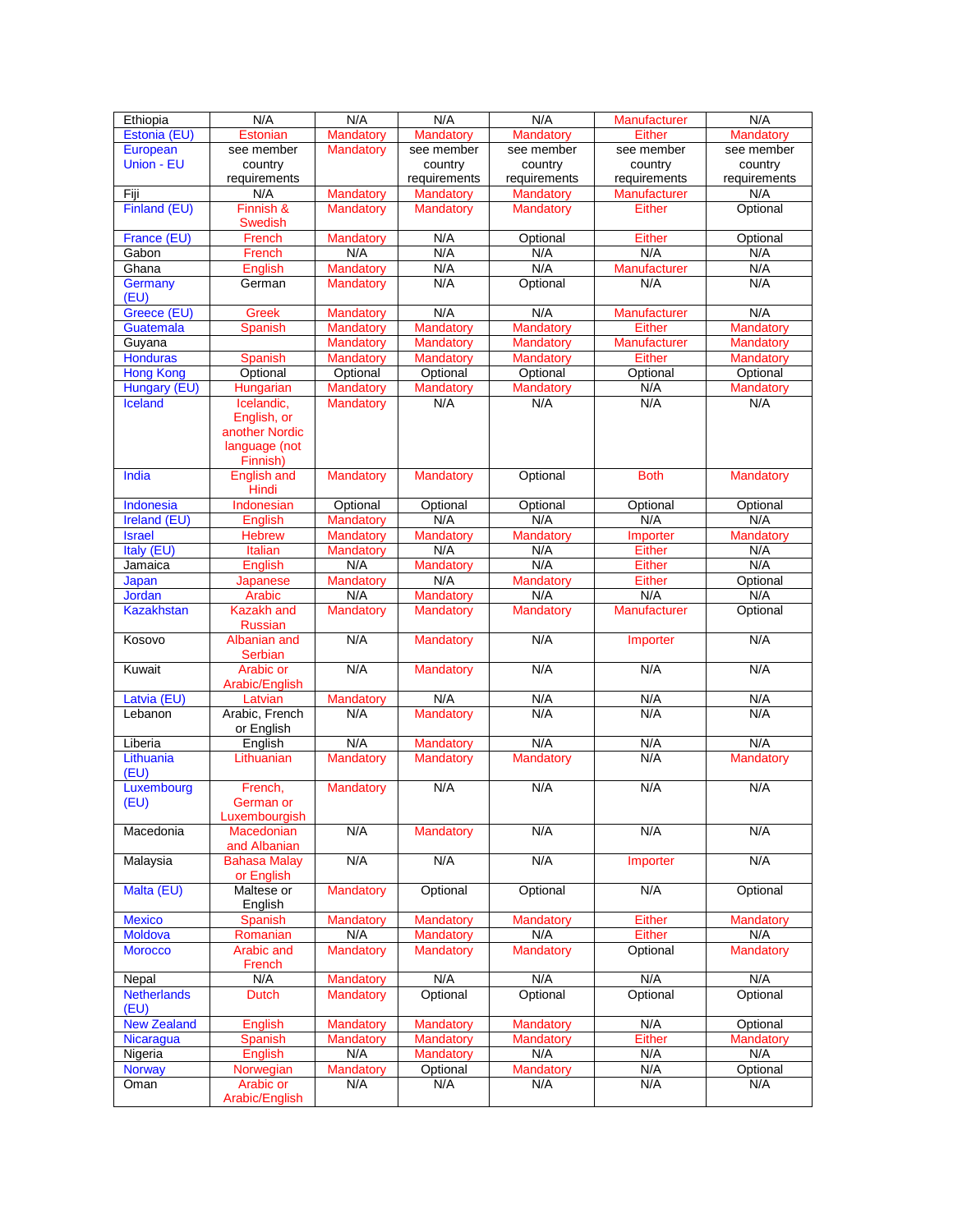| Ethiopia           | N/A                            | N/A              | N/A              | N/A              | Manufacturer        | N/A              |
|--------------------|--------------------------------|------------------|------------------|------------------|---------------------|------------------|
| Estonia (EU)       | <b>Estonian</b>                | Mandatory        | Mandatory        | Mandatory        | <b>Either</b>       | Mandatory        |
| European           | see member                     | Mandatory        | see member       | see member       | see member          | see member       |
| Union - EU         | country                        |                  | country          | country          | country             | country          |
|                    | requirements                   |                  | requirements     | requirements     | requirements        | requirements     |
| Fiji               | N/A                            | <b>Mandatory</b> | Mandatory        | Mandatory        | <b>Manufacturer</b> | N/A              |
| Finland (EU)       | Finnish &                      | <b>Mandatory</b> | Mandatory        | Mandatory        | Either              | Optional         |
|                    | <b>Swedish</b>                 |                  |                  |                  |                     |                  |
| France (EU)        | French                         | Mandatory        | N/A              | Optional         | Either              | Optional         |
| Gabon              | French                         | N/A              | N/A              | N/A              | N/A                 | N/A              |
| Ghana              | English                        | <b>Mandatory</b> | N/A              | N/A              | Manufacturer        | N/A              |
| Germany            | German                         | Mandatory        | N/A              | Optional         | N/A                 | N/A              |
| (EU)               |                                |                  |                  |                  |                     |                  |
| Greece (EU)        | Greek                          | Mandatory        | N/A              | N/A              | Manufacturer        | N/A              |
| Guatemala          | <b>Spanish</b>                 | <b>Mandatory</b> | <b>Mandatory</b> | <b>Mandatory</b> | <b>Either</b>       | <b>Mandatory</b> |
| Guyana             |                                | <b>Mandatory</b> | Mandatory        | Mandatory        | Manufacturer        | Mandatory        |
| <b>Honduras</b>    | Spanish                        | Mandatory        | <b>Mandatory</b> | <b>Mandatory</b> | <b>Either</b>       | <b>Mandatory</b> |
| <b>Hong Kong</b>   | Optional                       | Optional         | Optional         | Optional         | Optional            | Optional         |
| Hungary (EU)       | Hungarian                      | Mandatory        | Mandatory        | Mandatory        | N/A                 | Mandatory        |
| <b>Iceland</b>     | Icelandic,                     | <b>Mandatory</b> | N/A              | N/A              | N/A                 | N/A              |
|                    | English, or                    |                  |                  |                  |                     |                  |
|                    | another Nordic                 |                  |                  |                  |                     |                  |
|                    | language (not                  |                  |                  |                  |                     |                  |
| India              | Finnish)<br><b>English and</b> |                  |                  | Optional         | <b>Both</b>         |                  |
|                    | Hindi                          | <b>Mandatory</b> | <b>Mandatory</b> |                  |                     | Mandatory        |
| Indonesia          | Indonesian                     | Optional         | Optional         | Optional         | Optional            | Optional         |
| Ireland (EU)       | English                        | <b>Mandatory</b> | N/A              | N/A              | N/A                 | N/A              |
| <b>Israel</b>      | <b>Hebrew</b>                  | Mandatory        | Mandatory        | Mandatory        | Importer            | Mandatory        |
| Italy (EU)         | Italian                        | Mandatory        | N/A              | N/A              | Either              | N/A              |
| Jamaica            | <b>English</b>                 | N/A              | Mandatory        | N/A              | <b>Either</b>       | N/A              |
| Japan              | Japanese                       | Mandatory        | N/A              | <b>Mandatory</b> |                     | Optional         |
| <b>Jordan</b>      | Arabic                         | N/A              | Mandatory        | N/A              | Either<br>N/A       | N/A              |
| <b>Kazakhstan</b>  | <b>Kazakh</b> and              | Mandatory        | <b>Mandatory</b> | Mandatory        | Manufacturer        | Optional         |
|                    | Russian                        |                  |                  |                  |                     |                  |
| Kosovo             | Albanian and                   | N/A              | Mandatory        | N/A              | Importer            | N/A              |
|                    | Serbian                        |                  |                  |                  |                     |                  |
| Kuwait             | <b>Arabic or</b>               | N/A              | <b>Mandatory</b> | N/A              | N/A                 | N/A              |
|                    | Arabic/English                 |                  |                  |                  |                     |                  |
| Latvia (EU)        | Latvian                        | <b>Mandatory</b> | N/A              | N/A              | N/A                 | N/A              |
| Lebanon            | Arabic, French                 | N/A              | Mandatory        | N/A              | N/A                 | N/A              |
|                    | or English                     |                  |                  |                  |                     |                  |
| Liberia            | English                        | N/A              | Mandatory        | N/A              | N/A                 | N/A              |
| Lithuania          | Lithuanian                     | <b>Mandatory</b> | <b>Mandatory</b> | Mandatory        | N/A                 | Mandatory        |
| (EU)               |                                |                  |                  |                  |                     |                  |
| Luxembourg         | French.                        | Mandatory        | N/A              | N/A              | N/A                 | N/A              |
| (EU)               | German or                      |                  |                  |                  |                     |                  |
|                    | Luxembourgish                  |                  |                  |                  |                     |                  |
| Macedonia          | <b>Macedonian</b>              | N/A              | <b>Mandatory</b> | N/A              | N/A                 | N/A              |
|                    | and Albanian                   |                  |                  |                  |                     |                  |
| Malaysia           | <b>Bahasa Malay</b>            | N/A              | N/A              | N/A              | Importer            | N/A              |
|                    | or English                     |                  |                  |                  |                     |                  |
| Malta (EU)         | Maltese or                     | Mandatory        | Optional         | Optional         | N/A                 | Optional         |
|                    | English                        |                  | Mandatory        |                  | Either              |                  |
| <b>Mexico</b>      | Spanish                        | Mandatory        |                  | Mandatory<br>N/A |                     | Mandatory        |
| Moldova            | Romanian                       | N/A              | <b>Mandatory</b> |                  | Either              | N/A              |
| <b>Morocco</b>     | Arabic and<br>French           | <b>Mandatory</b> | <b>Mandatory</b> | Mandatory        | Optional            | <b>Mandatory</b> |
| Nepal              | N/A                            | Mandatory        | N/A              | N/A              | N/A                 | N/A              |
| <b>Netherlands</b> | Dutch                          | Mandatory        | Optional         | Optional         | Optional            | Optional         |
| (EU)               |                                |                  |                  |                  |                     |                  |
| <b>New Zealand</b> | English                        | Mandatory        | Mandatory        | Mandatory        | N/A                 | Optional         |
| Nicaragua          | Spanish                        | Mandatory        | Mandatory        | Mandatory        | <b>Either</b>       | Mandatory        |
| Nigeria            | English                        | N/A              | <b>Mandatory</b> | N/A              | N/A                 | N/A              |
| <b>Norway</b>      | Norwegian                      | Mandatory        | Optional         | Mandatory        | N/A                 | Optional         |
| Oman               | Arabic or                      | N/A              | N/A              | N/A              | N/A                 | N/A              |
|                    | Arabic/English                 |                  |                  |                  |                     |                  |
|                    |                                |                  |                  |                  |                     |                  |